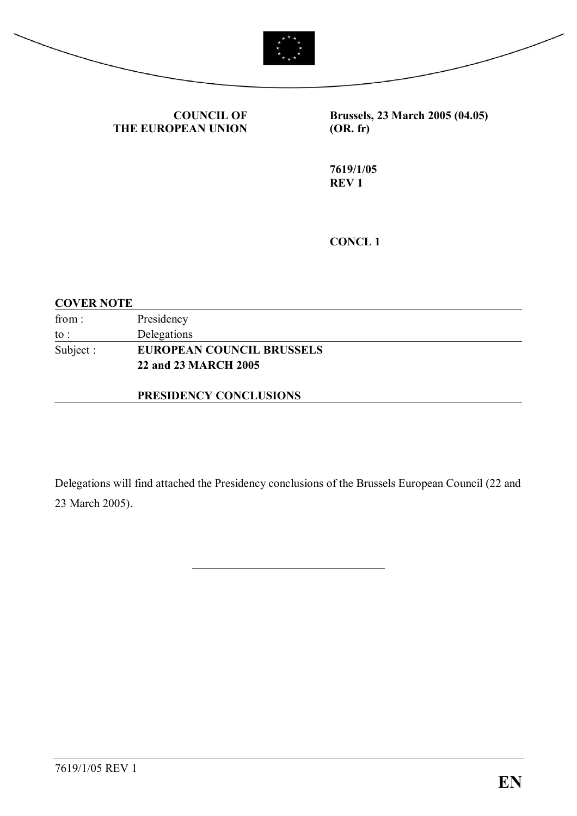



COUNCIL OF THE EUROPEAN UNION Brussels, 23 March 2005 (04.05) (OR. fr)

7619/1/05 REV 1

CONCL 1

#### COVER NOTE

| from:           | Presidency                |  |
|-----------------|---------------------------|--|
| $\mathrm{to}$ : | Delegations               |  |
| Subject :       | EUROPEAN COUNCIL BRUSSELS |  |
|                 | 22 and 23 MARCH 2005      |  |
|                 |                           |  |

#### PRESIDENCY CONCLUSIONS

Delegations will find attached the Presidency conclusions of the Brussels European Council (22 and 23 March 2005).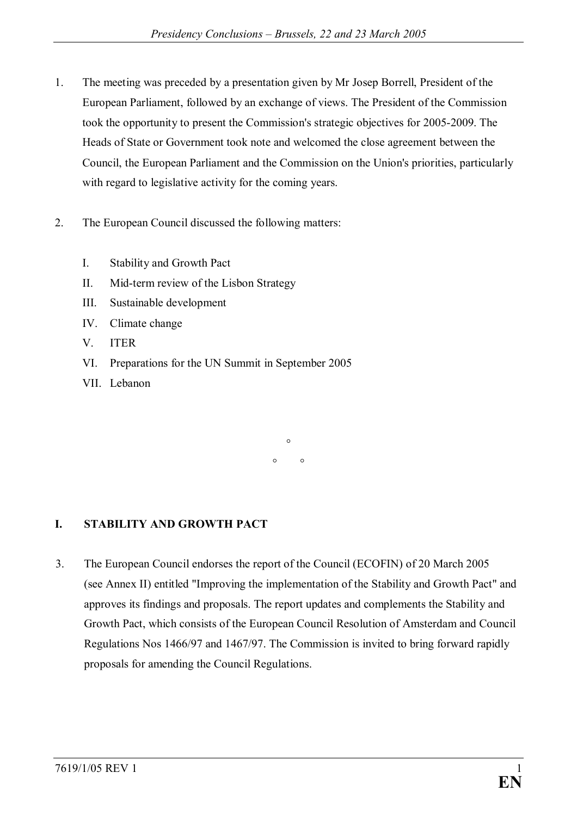- 1. The meeting was preceded by a presentation given by Mr Josep Borrell, President of the European Parliament, followed by an exchange of views. The President of the Commission took the opportunity to present the Commission's strategic objectives for 2005-2009. The Heads of State or Government took note and welcomed the close agreement between the Council, the European Parliament and the Commission on the Union's priorities, particularly with regard to legislative activity for the coming years.
- 2. The European Council discussed the following matters:
	- I. Stability and Growth Pact
	- II. Mid-term review of the Lisbon Strategy
	- III. Sustainable development
	- IV. Climate change
	- V. ITER
	- VI. Preparations for the UN Summit in September 2005
	- VII. Lebanon

I. STABILITY AND GROWTH PACT

3. The European Council endorses the report of the Council (ECOFIN) of 20 March 2005 (see Annex II) entitled "Improving the implementation of the Stability and Growth Pact" and approves its findings and proposals. The report updates and complements the Stability and Growth Pact, which consists of the European Council Resolution of Amsterdam and Council Regulations Nos 1466/97 and 1467/97. The Commission is invited to bring forward rapidly proposals for amending the Council Regulations.

 $\circ$ 

 $\circ$   $\circ$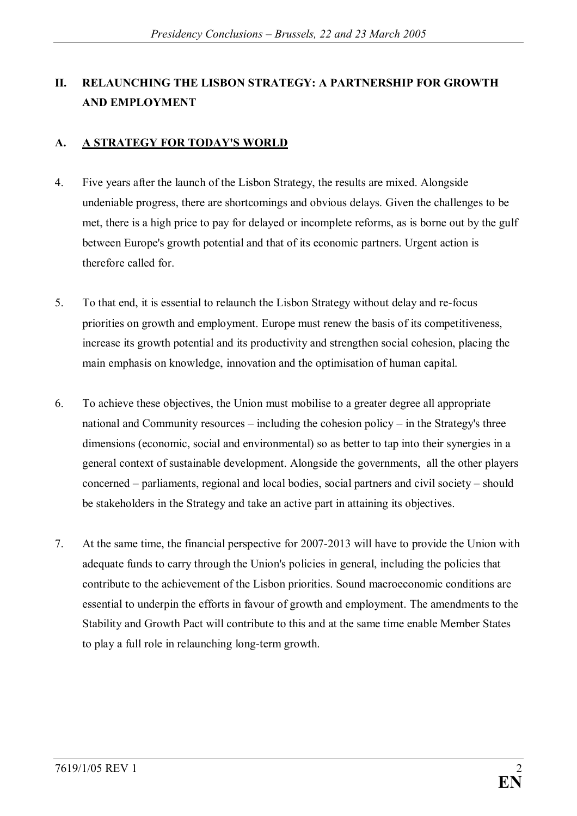# II. RELAUNCHING THE LISBON STRATEGY: A PARTNERSHIP FOR GROWTH AND EMPLOYMENT

#### A. A STRATEGY FOR TODAY'S WORLD

- 4. Five years after the launch of the Lisbon Strategy, the results are mixed. Alongside undeniable progress, there are shortcomings and obvious delays. Given the challenges to be met, there is a high price to pay for delayed or incomplete reforms, as is borne out by the gulf between Europe's growth potential and that of its economic partners. Urgent action is therefore called for.
- 5. To that end, it is essential to relaunch the Lisbon Strategy without delay and re-focus priorities on growth and employment. Europe must renew the basis of its competitiveness, increase its growth potential and its productivity and strengthen social cohesion, placing the main emphasis on knowledge, innovation and the optimisation of human capital.
- 6. To achieve these objectives, the Union must mobilise to a greater degree all appropriate national and Community resources – including the cohesion policy – in the Strategy's three dimensions (economic, social and environmental) so as better to tap into their synergies in a general context of sustainable development. Alongside the governments, all the other players concerned – parliaments, regional and local bodies, social partners and civil society – should be stakeholders in the Strategy and take an active part in attaining its objectives.
- 7. At the same time, the financial perspective for 2007-2013 will have to provide the Union with adequate funds to carry through the Union's policies in general, including the policies that contribute to the achievement of the Lisbon priorities. Sound macroeconomic conditions are essential to underpin the efforts in favour of growth and employment. The amendments to the Stability and Growth Pact will contribute to this and at the same time enable Member States to play a full role in relaunching long-term growth.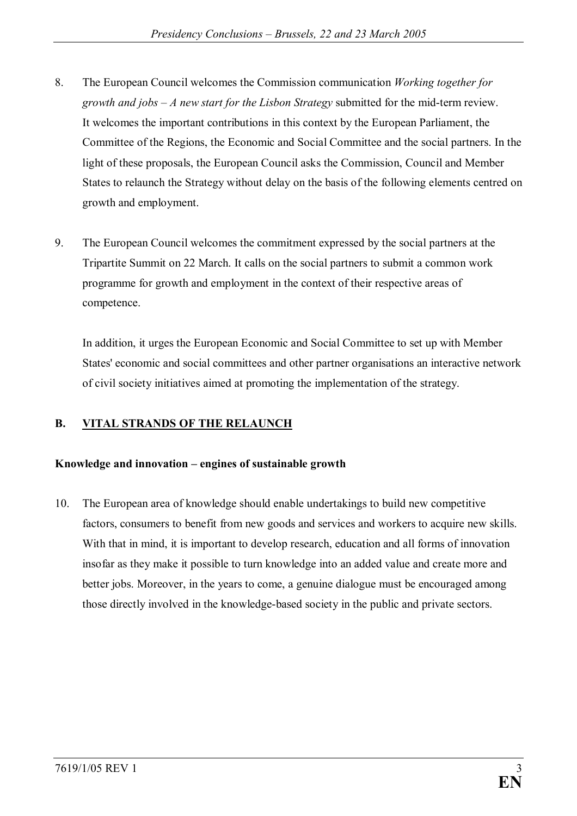- 8. The European Council welcomes the Commission communication Working together for growth and jobs  $-A$  new start for the Lisbon Strategy submitted for the mid-term review. It welcomes the important contributions in this context by the European Parliament, the Committee of the Regions, the Economic and Social Committee and the social partners. In the light of these proposals, the European Council asks the Commission, Council and Member States to relaunch the Strategy without delay on the basis of the following elements centred on growth and employment.
- 9. The European Council welcomes the commitment expressed by the social partners at the Tripartite Summit on 22 March. It calls on the social partners to submit a common work programme for growth and employment in the context of their respective areas of competence.

 In addition, it urges the European Economic and Social Committee to set up with Member States' economic and social committees and other partner organisations an interactive network of civil society initiatives aimed at promoting the implementation of the strategy.

## B. VITAL STRANDS OF THE RELAUNCH

### Knowledge and innovation – engines of sustainable growth

10. The European area of knowledge should enable undertakings to build new competitive factors, consumers to benefit from new goods and services and workers to acquire new skills. With that in mind, it is important to develop research, education and all forms of innovation insofar as they make it possible to turn knowledge into an added value and create more and better jobs. Moreover, in the years to come, a genuine dialogue must be encouraged among those directly involved in the knowledge-based society in the public and private sectors.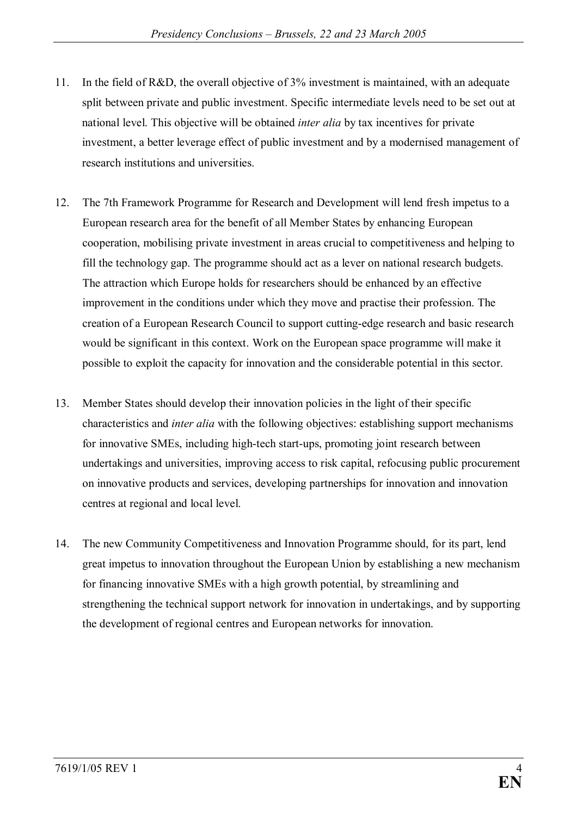- 11. In the field of R&D, the overall objective of 3% investment is maintained, with an adequate split between private and public investment. Specific intermediate levels need to be set out at national level. This objective will be obtained *inter alia* by tax incentives for private investment, a better leverage effect of public investment and by a modernised management of research institutions and universities.
- 12. The 7th Framework Programme for Research and Development will lend fresh impetus to a European research area for the benefit of all Member States by enhancing European cooperation, mobilising private investment in areas crucial to competitiveness and helping to fill the technology gap. The programme should act as a lever on national research budgets. The attraction which Europe holds for researchers should be enhanced by an effective improvement in the conditions under which they move and practise their profession. The creation of a European Research Council to support cutting-edge research and basic research would be significant in this context. Work on the European space programme will make it possible to exploit the capacity for innovation and the considerable potential in this sector.
- 13. Member States should develop their innovation policies in the light of their specific characteristics and inter alia with the following objectives: establishing support mechanisms for innovative SMEs, including high-tech start-ups, promoting joint research between undertakings and universities, improving access to risk capital, refocusing public procurement on innovative products and services, developing partnerships for innovation and innovation centres at regional and local level.
- 14. The new Community Competitiveness and Innovation Programme should, for its part, lend great impetus to innovation throughout the European Union by establishing a new mechanism for financing innovative SMEs with a high growth potential, by streamlining and strengthening the technical support network for innovation in undertakings, and by supporting the development of regional centres and European networks for innovation.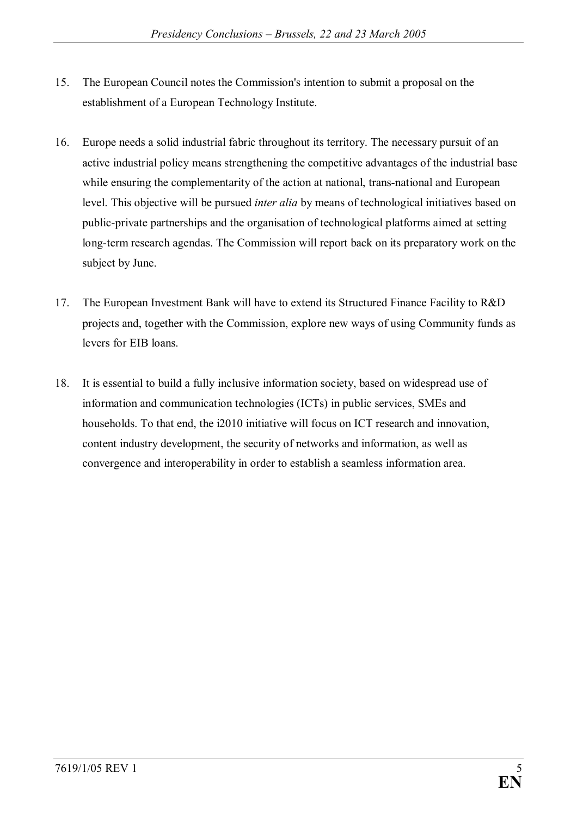- 15. The European Council notes the Commission's intention to submit a proposal on the establishment of a European Technology Institute.
- 16. Europe needs a solid industrial fabric throughout its territory. The necessary pursuit of an active industrial policy means strengthening the competitive advantages of the industrial base while ensuring the complementarity of the action at national, trans-national and European level. This objective will be pursued *inter alia* by means of technological initiatives based on public-private partnerships and the organisation of technological platforms aimed at setting long-term research agendas. The Commission will report back on its preparatory work on the subject by June.
- 17. The European Investment Bank will have to extend its Structured Finance Facility to R&D projects and, together with the Commission, explore new ways of using Community funds as levers for EIB loans.
- 18. It is essential to build a fully inclusive information society, based on widespread use of information and communication technologies (ICTs) in public services, SMEs and households. To that end, the i2010 initiative will focus on ICT research and innovation, content industry development, the security of networks and information, as well as convergence and interoperability in order to establish a seamless information area.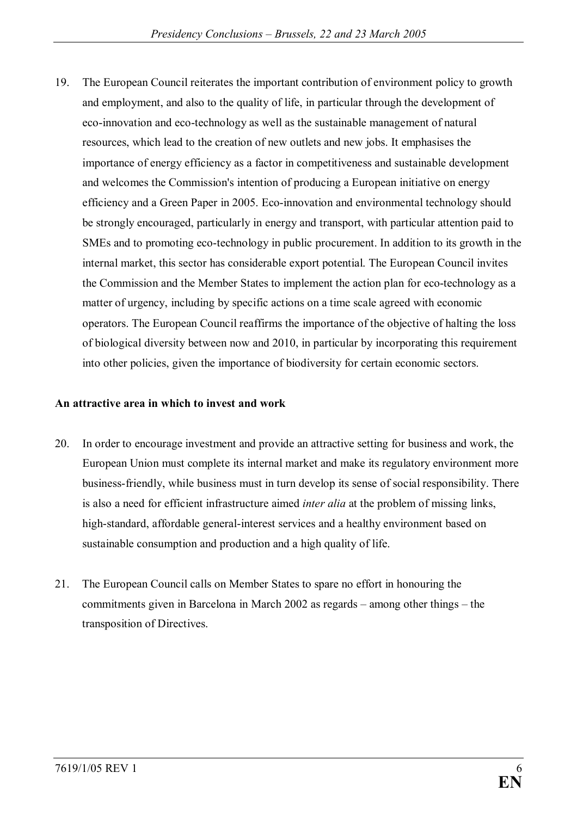19. The European Council reiterates the important contribution of environment policy to growth and employment, and also to the quality of life, in particular through the development of eco-innovation and eco-technology as well as the sustainable management of natural resources, which lead to the creation of new outlets and new jobs. It emphasises the importance of energy efficiency as a factor in competitiveness and sustainable development and welcomes the Commission's intention of producing a European initiative on energy efficiency and a Green Paper in 2005. Eco-innovation and environmental technology should be strongly encouraged, particularly in energy and transport, with particular attention paid to SMEs and to promoting eco-technology in public procurement. In addition to its growth in the internal market, this sector has considerable export potential. The European Council invites the Commission and the Member States to implement the action plan for eco-technology as a matter of urgency, including by specific actions on a time scale agreed with economic operators. The European Council reaffirms the importance of the objective of halting the loss of biological diversity between now and 2010, in particular by incorporating this requirement into other policies, given the importance of biodiversity for certain economic sectors.

#### An attractive area in which to invest and work

- 20. In order to encourage investment and provide an attractive setting for business and work, the European Union must complete its internal market and make its regulatory environment more business-friendly, while business must in turn develop its sense of social responsibility. There is also a need for efficient infrastructure aimed *inter alia* at the problem of missing links, high-standard, affordable general-interest services and a healthy environment based on sustainable consumption and production and a high quality of life.
- 21. The European Council calls on Member States to spare no effort in honouring the commitments given in Barcelona in March 2002 as regards – among other things – the transposition of Directives.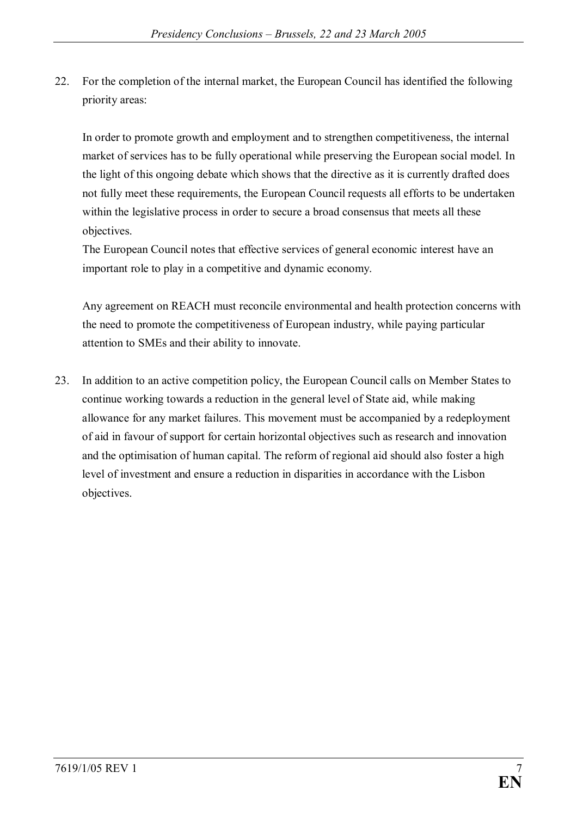22. For the completion of the internal market, the European Council has identified the following priority areas:

In order to promote growth and employment and to strengthen competitiveness, the internal market of services has to be fully operational while preserving the European social model. In the light of this ongoing debate which shows that the directive as it is currently drafted does not fully meet these requirements, the European Council requests all efforts to be undertaken within the legislative process in order to secure a broad consensus that meets all these objectives.

The European Council notes that effective services of general economic interest have an important role to play in a competitive and dynamic economy.

Any agreement on REACH must reconcile environmental and health protection concerns with the need to promote the competitiveness of European industry, while paying particular attention to SMEs and their ability to innovate.

23. In addition to an active competition policy, the European Council calls on Member States to continue working towards a reduction in the general level of State aid, while making allowance for any market failures. This movement must be accompanied by a redeployment of aid in favour of support for certain horizontal objectives such as research and innovation and the optimisation of human capital. The reform of regional aid should also foster a high level of investment and ensure a reduction in disparities in accordance with the Lisbon objectives.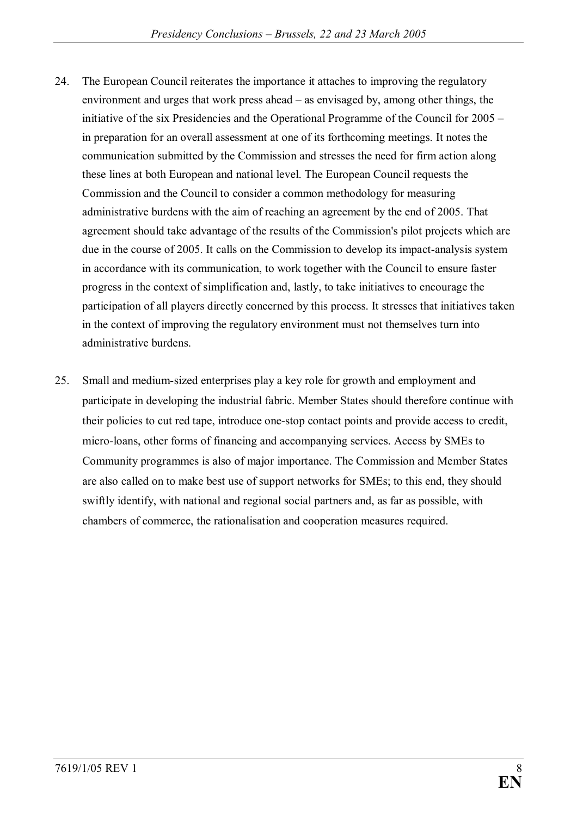- 24. The European Council reiterates the importance it attaches to improving the regulatory environment and urges that work press ahead – as envisaged by, among other things, the initiative of the six Presidencies and the Operational Programme of the Council for 2005 – in preparation for an overall assessment at one of its forthcoming meetings. It notes the communication submitted by the Commission and stresses the need for firm action along these lines at both European and national level. The European Council requests the Commission and the Council to consider a common methodology for measuring administrative burdens with the aim of reaching an agreement by the end of 2005. That agreement should take advantage of the results of the Commission's pilot projects which are due in the course of 2005. It calls on the Commission to develop its impact-analysis system in accordance with its communication, to work together with the Council to ensure faster progress in the context of simplification and, lastly, to take initiatives to encourage the participation of all players directly concerned by this process. It stresses that initiatives taken in the context of improving the regulatory environment must not themselves turn into administrative burdens.
- 25. Small and medium-sized enterprises play a key role for growth and employment and participate in developing the industrial fabric. Member States should therefore continue with their policies to cut red tape, introduce one-stop contact points and provide access to credit, micro-loans, other forms of financing and accompanying services. Access by SMEs to Community programmes is also of major importance. The Commission and Member States are also called on to make best use of support networks for SMEs; to this end, they should swiftly identify, with national and regional social partners and, as far as possible, with chambers of commerce, the rationalisation and cooperation measures required.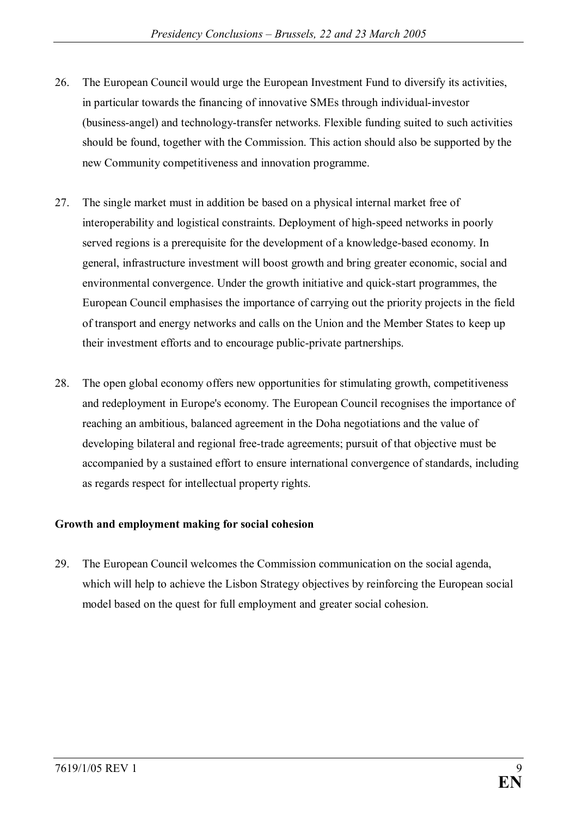- 26. The European Council would urge the European Investment Fund to diversify its activities, in particular towards the financing of innovative SMEs through individual-investor (business-angel) and technology-transfer networks. Flexible funding suited to such activities should be found, together with the Commission. This action should also be supported by the new Community competitiveness and innovation programme.
- 27. The single market must in addition be based on a physical internal market free of interoperability and logistical constraints. Deployment of high-speed networks in poorly served regions is a prerequisite for the development of a knowledge-based economy. In general, infrastructure investment will boost growth and bring greater economic, social and environmental convergence. Under the growth initiative and quick-start programmes, the European Council emphasises the importance of carrying out the priority projects in the field of transport and energy networks and calls on the Union and the Member States to keep up their investment efforts and to encourage public-private partnerships.
- 28. The open global economy offers new opportunities for stimulating growth, competitiveness and redeployment in Europe's economy. The European Council recognises the importance of reaching an ambitious, balanced agreement in the Doha negotiations and the value of developing bilateral and regional free-trade agreements; pursuit of that objective must be accompanied by a sustained effort to ensure international convergence of standards, including as regards respect for intellectual property rights.

### Growth and employment making for social cohesion

29. The European Council welcomes the Commission communication on the social agenda, which will help to achieve the Lisbon Strategy objectives by reinforcing the European social model based on the quest for full employment and greater social cohesion.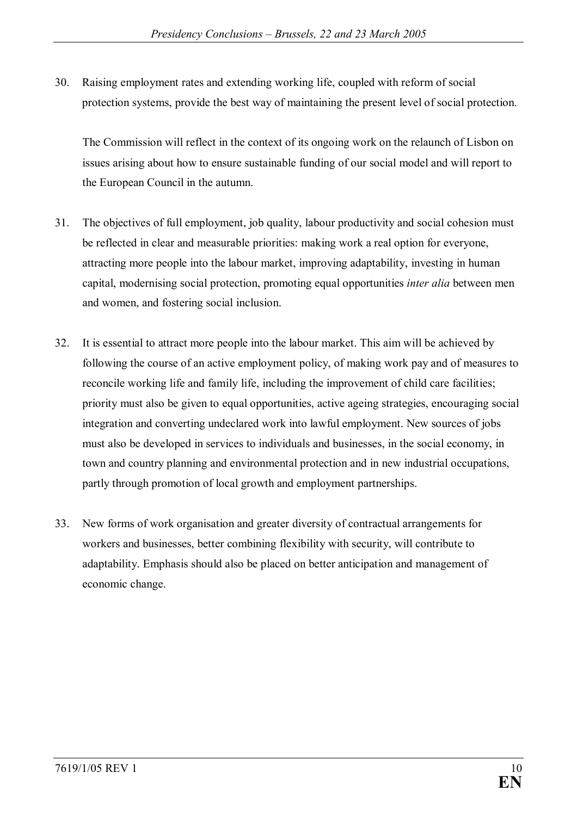30. Raising employment rates and extending working life, coupled with reform of social protection systems, provide the best way of maintaining the present level of social protection.

 The Commission will reflect in the context of its ongoing work on the relaunch of Lisbon on issues arising about how to ensure sustainable funding of our social model and will report to the European Council in the autumn.

- 31. The objectives of full employment, job quality, labour productivity and social cohesion must be reflected in clear and measurable priorities: making work a real option for everyone, attracting more people into the labour market, improving adaptability, investing in human capital, modernising social protection, promoting equal opportunities *inter alia* between men and women, and fostering social inclusion.
- 32. It is essential to attract more people into the labour market. This aim will be achieved by following the course of an active employment policy, of making work pay and of measures to reconcile working life and family life, including the improvement of child care facilities; priority must also be given to equal opportunities, active ageing strategies, encouraging social integration and converting undeclared work into lawful employment. New sources of jobs must also be developed in services to individuals and businesses, in the social economy, in town and country planning and environmental protection and in new industrial occupations, partly through promotion of local growth and employment partnerships.
- 33. New forms of work organisation and greater diversity of contractual arrangements for workers and businesses, better combining flexibility with security, will contribute to adaptability. Emphasis should also be placed on better anticipation and management of economic change.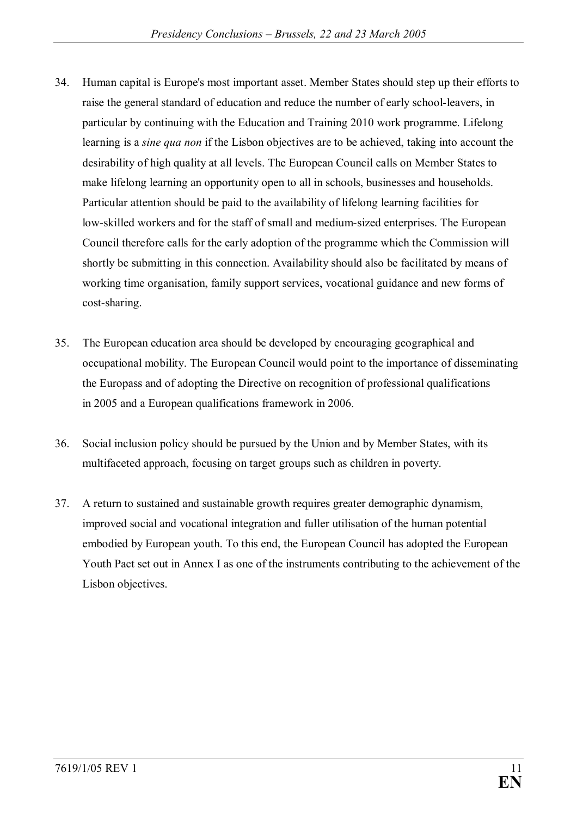- 34. Human capital is Europe's most important asset. Member States should step up their efforts to raise the general standard of education and reduce the number of early school-leavers, in particular by continuing with the Education and Training 2010 work programme. Lifelong learning is a sine qua non if the Lisbon objectives are to be achieved, taking into account the desirability of high quality at all levels. The European Council calls on Member States to make lifelong learning an opportunity open to all in schools, businesses and households. Particular attention should be paid to the availability of lifelong learning facilities for low-skilled workers and for the staff of small and medium-sized enterprises. The European Council therefore calls for the early adoption of the programme which the Commission will shortly be submitting in this connection. Availability should also be facilitated by means of working time organisation, family support services, vocational guidance and new forms of cost-sharing.
- 35. The European education area should be developed by encouraging geographical and occupational mobility. The European Council would point to the importance of disseminating the Europass and of adopting the Directive on recognition of professional qualifications in 2005 and a European qualifications framework in 2006.
- 36. Social inclusion policy should be pursued by the Union and by Member States, with its multifaceted approach, focusing on target groups such as children in poverty.
- 37. A return to sustained and sustainable growth requires greater demographic dynamism, improved social and vocational integration and fuller utilisation of the human potential embodied by European youth. To this end, the European Council has adopted the European Youth Pact set out in Annex I as one of the instruments contributing to the achievement of the Lisbon objectives.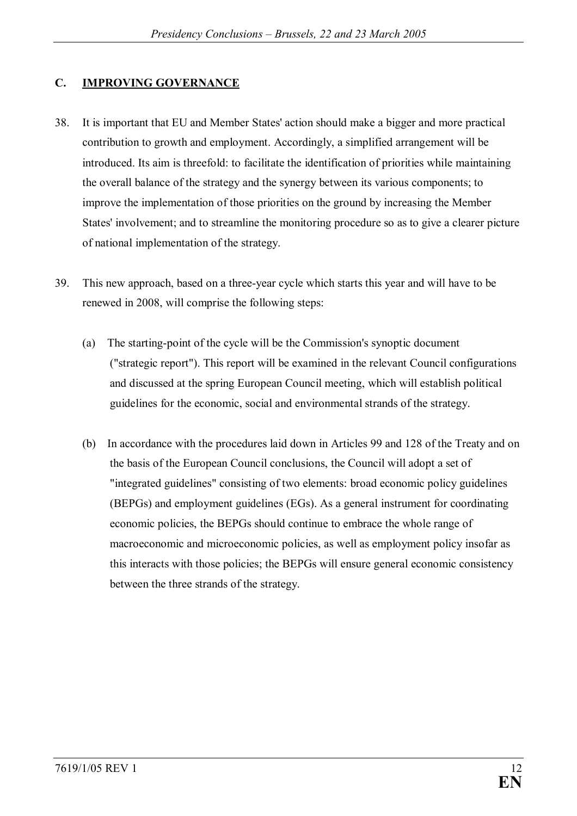#### C. IMPROVING GOVERNANCE

- 38. It is important that EU and Member States' action should make a bigger and more practical contribution to growth and employment. Accordingly, a simplified arrangement will be introduced. Its aim is threefold: to facilitate the identification of priorities while maintaining the overall balance of the strategy and the synergy between its various components; to improve the implementation of those priorities on the ground by increasing the Member States' involvement; and to streamline the monitoring procedure so as to give a clearer picture of national implementation of the strategy.
- 39. This new approach, based on a three-year cycle which starts this year and will have to be renewed in 2008, will comprise the following steps:
	- (a) The starting-point of the cycle will be the Commission's synoptic document ("strategic report"). This report will be examined in the relevant Council configurations and discussed at the spring European Council meeting, which will establish political guidelines for the economic, social and environmental strands of the strategy.
	- (b) In accordance with the procedures laid down in Articles 99 and 128 of the Treaty and on the basis of the European Council conclusions, the Council will adopt a set of "integrated guidelines" consisting of two elements: broad economic policy guidelines (BEPGs) and employment guidelines (EGs). As a general instrument for coordinating economic policies, the BEPGs should continue to embrace the whole range of macroeconomic and microeconomic policies, as well as employment policy insofar as this interacts with those policies; the BEPGs will ensure general economic consistency between the three strands of the strategy.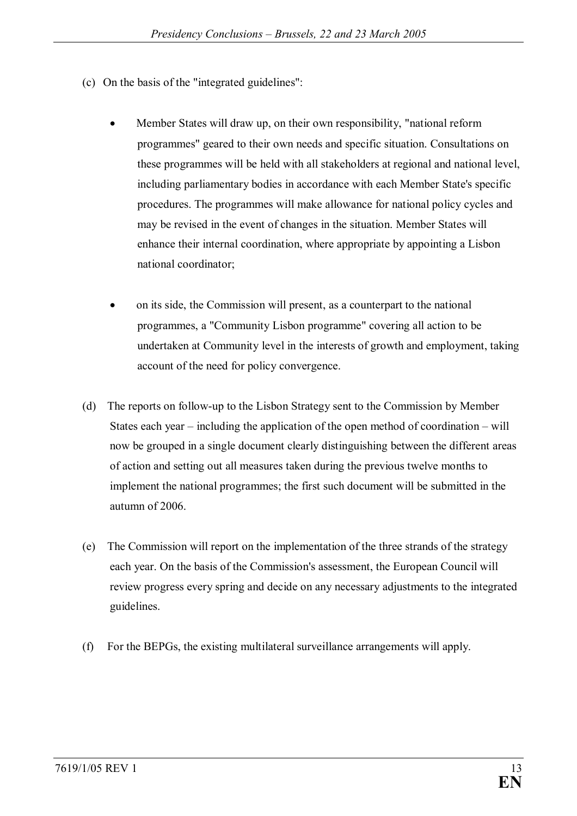- (c) On the basis of the "integrated guidelines":
	- Member States will draw up, on their own responsibility, "national reform programmes" geared to their own needs and specific situation. Consultations on these programmes will be held with all stakeholders at regional and national level, including parliamentary bodies in accordance with each Member State's specific procedures. The programmes will make allowance for national policy cycles and may be revised in the event of changes in the situation. Member States will enhance their internal coordination, where appropriate by appointing a Lisbon national coordinator;
	- on its side, the Commission will present, as a counterpart to the national programmes, a "Community Lisbon programme" covering all action to be undertaken at Community level in the interests of growth and employment, taking account of the need for policy convergence.
- (d) The reports on follow-up to the Lisbon Strategy sent to the Commission by Member States each year – including the application of the open method of coordination – will now be grouped in a single document clearly distinguishing between the different areas of action and setting out all measures taken during the previous twelve months to implement the national programmes; the first such document will be submitted in the autumn of 2006.
- (e) The Commission will report on the implementation of the three strands of the strategy each year. On the basis of the Commission's assessment, the European Council will review progress every spring and decide on any necessary adjustments to the integrated guidelines.
- (f) For the BEPGs, the existing multilateral surveillance arrangements will apply.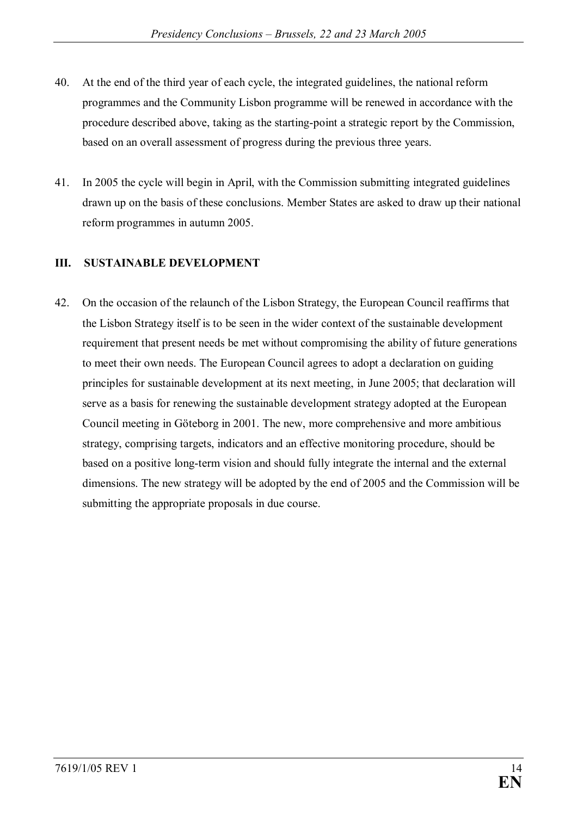- 40. At the end of the third year of each cycle, the integrated guidelines, the national reform programmes and the Community Lisbon programme will be renewed in accordance with the procedure described above, taking as the starting-point a strategic report by the Commission, based on an overall assessment of progress during the previous three years.
- 41. In 2005 the cycle will begin in April, with the Commission submitting integrated guidelines drawn up on the basis of these conclusions. Member States are asked to draw up their national reform programmes in autumn 2005.

## III. SUSTAINABLE DEVELOPMENT

42. On the occasion of the relaunch of the Lisbon Strategy, the European Council reaffirms that the Lisbon Strategy itself is to be seen in the wider context of the sustainable development requirement that present needs be met without compromising the ability of future generations to meet their own needs. The European Council agrees to adopt a declaration on guiding principles for sustainable development at its next meeting, in June 2005; that declaration will serve as a basis for renewing the sustainable development strategy adopted at the European Council meeting in Göteborg in 2001. The new, more comprehensive and more ambitious strategy, comprising targets, indicators and an effective monitoring procedure, should be based on a positive long-term vision and should fully integrate the internal and the external dimensions. The new strategy will be adopted by the end of 2005 and the Commission will be submitting the appropriate proposals in due course.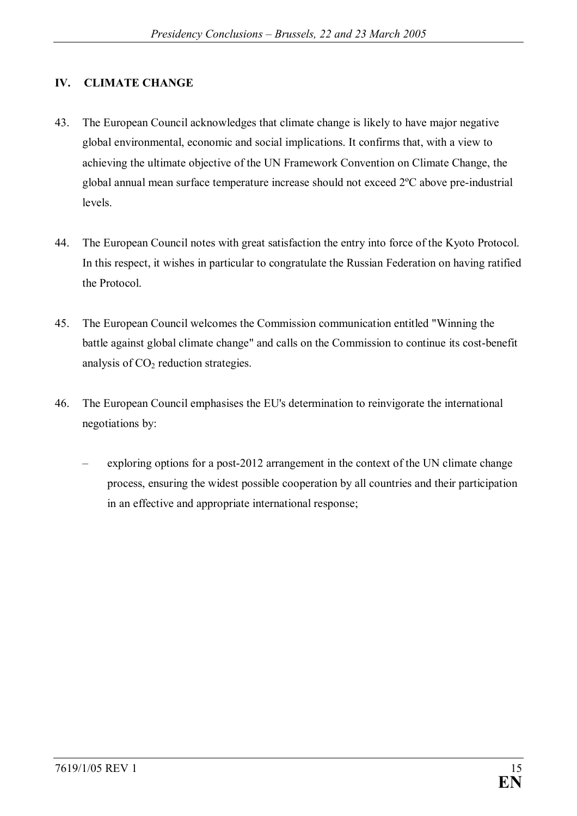### IV. CLIMATE CHANGE

- 43. The European Council acknowledges that climate change is likely to have major negative global environmental, economic and social implications. It confirms that, with a view to achieving the ultimate objective of the UN Framework Convention on Climate Change, the global annual mean surface temperature increase should not exceed 2ºC above pre-industrial levels.
- 44. The European Council notes with great satisfaction the entry into force of the Kyoto Protocol. In this respect, it wishes in particular to congratulate the Russian Federation on having ratified the Protocol.
- 45. The European Council welcomes the Commission communication entitled "Winning the battle against global climate change" and calls on the Commission to continue its cost-benefit analysis of  $CO<sub>2</sub>$  reduction strategies.
- 46. The European Council emphasises the EU's determination to reinvigorate the international negotiations by:
	- exploring options for a post-2012 arrangement in the context of the UN climate change process, ensuring the widest possible cooperation by all countries and their participation in an effective and appropriate international response;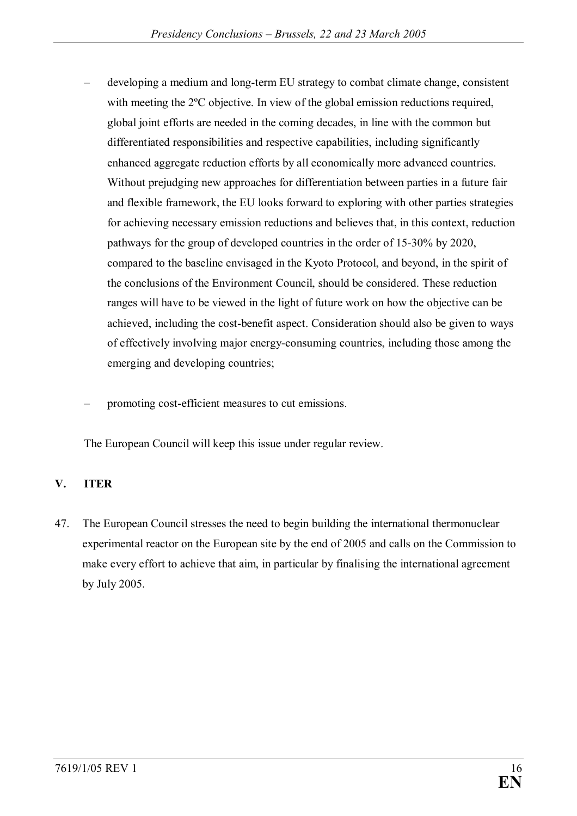- developing a medium and long-term EU strategy to combat climate change, consistent with meeting the 2<sup>o</sup>C objective. In view of the global emission reductions required, global joint efforts are needed in the coming decades, in line with the common but differentiated responsibilities and respective capabilities, including significantly enhanced aggregate reduction efforts by all economically more advanced countries. Without prejudging new approaches for differentiation between parties in a future fair and flexible framework, the EU looks forward to exploring with other parties strategies for achieving necessary emission reductions and believes that, in this context, reduction pathways for the group of developed countries in the order of 15-30% by 2020, compared to the baseline envisaged in the Kyoto Protocol, and beyond, in the spirit of the conclusions of the Environment Council, should be considered. These reduction ranges will have to be viewed in the light of future work on how the objective can be achieved, including the cost-benefit aspect. Consideration should also be given to ways of effectively involving major energy-consuming countries, including those among the emerging and developing countries;
- promoting cost-efficient measures to cut emissions.

The European Council will keep this issue under regular review.

### V. ITER

47. The European Council stresses the need to begin building the international thermonuclear experimental reactor on the European site by the end of 2005 and calls on the Commission to make every effort to achieve that aim, in particular by finalising the international agreement by July 2005.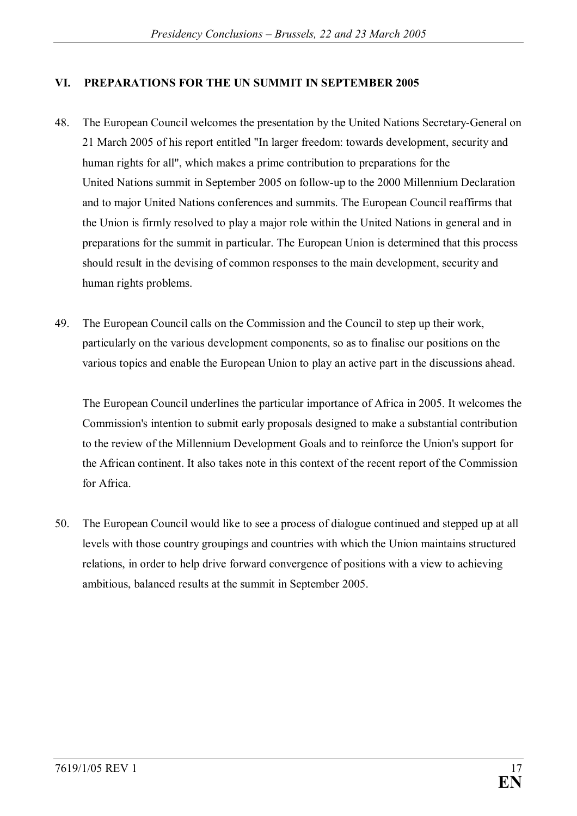#### VI. PREPARATIONS FOR THE UN SUMMIT IN SEPTEMBER 2005

- 48. The European Council welcomes the presentation by the United Nations Secretary-General on 21 March 2005 of his report entitled "In larger freedom: towards development, security and human rights for all", which makes a prime contribution to preparations for the United Nations summit in September 2005 on follow-up to the 2000 Millennium Declaration and to major United Nations conferences and summits. The European Council reaffirms that the Union is firmly resolved to play a major role within the United Nations in general and in preparations for the summit in particular. The European Union is determined that this process should result in the devising of common responses to the main development, security and human rights problems.
- 49. The European Council calls on the Commission and the Council to step up their work, particularly on the various development components, so as to finalise our positions on the various topics and enable the European Union to play an active part in the discussions ahead.

 The European Council underlines the particular importance of Africa in 2005. It welcomes the Commission's intention to submit early proposals designed to make a substantial contribution to the review of the Millennium Development Goals and to reinforce the Union's support for the African continent. It also takes note in this context of the recent report of the Commission for Africa.

50. The European Council would like to see a process of dialogue continued and stepped up at all levels with those country groupings and countries with which the Union maintains structured relations, in order to help drive forward convergence of positions with a view to achieving ambitious, balanced results at the summit in September 2005.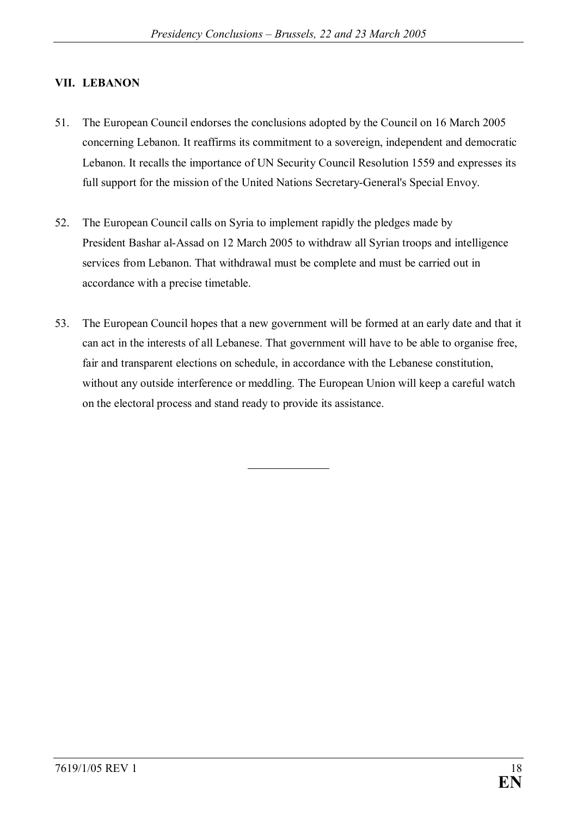### VII. LEBANON

- 51. The European Council endorses the conclusions adopted by the Council on 16 March 2005 concerning Lebanon. It reaffirms its commitment to a sovereign, independent and democratic Lebanon. It recalls the importance of UN Security Council Resolution 1559 and expresses its full support for the mission of the United Nations Secretary-General's Special Envoy.
- 52. The European Council calls on Syria to implement rapidly the pledges made by President Bashar al-Assad on 12 March 2005 to withdraw all Syrian troops and intelligence services from Lebanon. That withdrawal must be complete and must be carried out in accordance with a precise timetable.
- 53. The European Council hopes that a new government will be formed at an early date and that it can act in the interests of all Lebanese. That government will have to be able to organise free, fair and transparent elections on schedule, in accordance with the Lebanese constitution, without any outside interference or meddling. The European Union will keep a careful watch on the electoral process and stand ready to provide its assistance.

 $\overline{a}$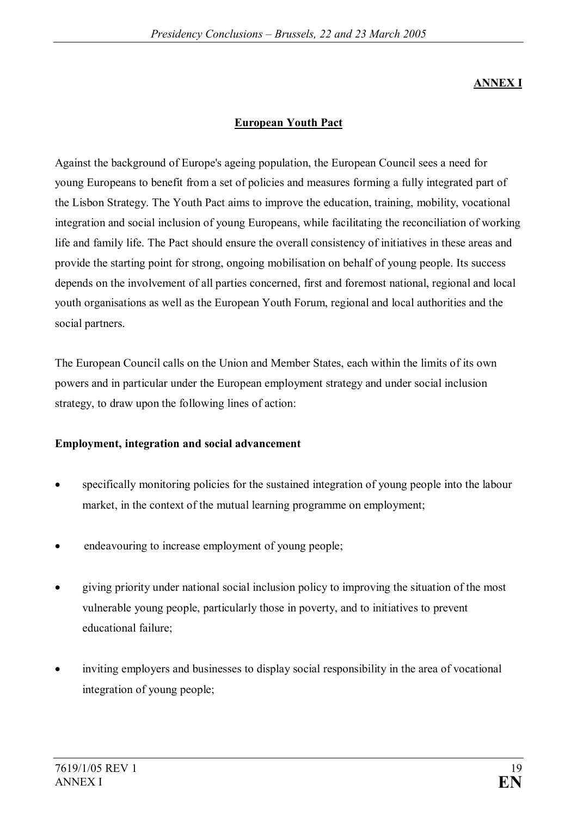### ANNEX I

### European Youth Pact

Against the background of Europe's ageing population, the European Council sees a need for young Europeans to benefit from a set of policies and measures forming a fully integrated part of the Lisbon Strategy. The Youth Pact aims to improve the education, training, mobility, vocational integration and social inclusion of young Europeans, while facilitating the reconciliation of working life and family life. The Pact should ensure the overall consistency of initiatives in these areas and provide the starting point for strong, ongoing mobilisation on behalf of young people. Its success depends on the involvement of all parties concerned, first and foremost national, regional and local youth organisations as well as the European Youth Forum, regional and local authorities and the social partners.

The European Council calls on the Union and Member States, each within the limits of its own powers and in particular under the European employment strategy and under social inclusion strategy, to draw upon the following lines of action:

#### Employment, integration and social advancement

- specifically monitoring policies for the sustained integration of young people into the labour market, in the context of the mutual learning programme on employment;
- endeavouring to increase employment of young people;
- giving priority under national social inclusion policy to improving the situation of the most vulnerable young people, particularly those in poverty, and to initiatives to prevent educational failure;
- inviting employers and businesses to display social responsibility in the area of vocational integration of young people;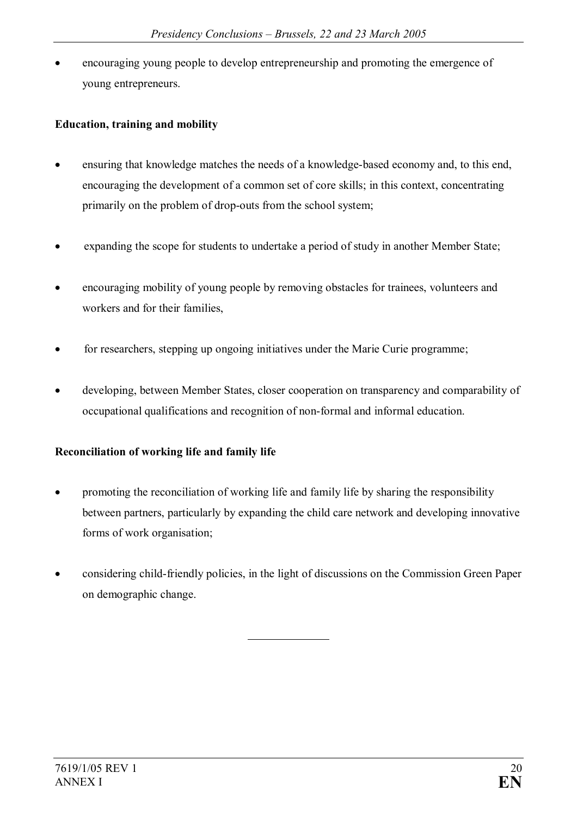• encouraging young people to develop entrepreneurship and promoting the emergence of young entrepreneurs.

### Education, training and mobility

- ensuring that knowledge matches the needs of a knowledge-based economy and, to this end, encouraging the development of a common set of core skills; in this context, concentrating primarily on the problem of drop-outs from the school system;
- expanding the scope for students to undertake a period of study in another Member State;
- encouraging mobility of young people by removing obstacles for trainees, volunteers and workers and for their families,
- for researchers, stepping up ongoing initiatives under the Marie Curie programme;
- developing, between Member States, closer cooperation on transparency and comparability of occupational qualifications and recognition of non-formal and informal education.

### Reconciliation of working life and family life

- promoting the reconciliation of working life and family life by sharing the responsibility between partners, particularly by expanding the child care network and developing innovative forms of work organisation;
- considering child-friendly policies, in the light of discussions on the Commission Green Paper on demographic change.

 $\overline{a}$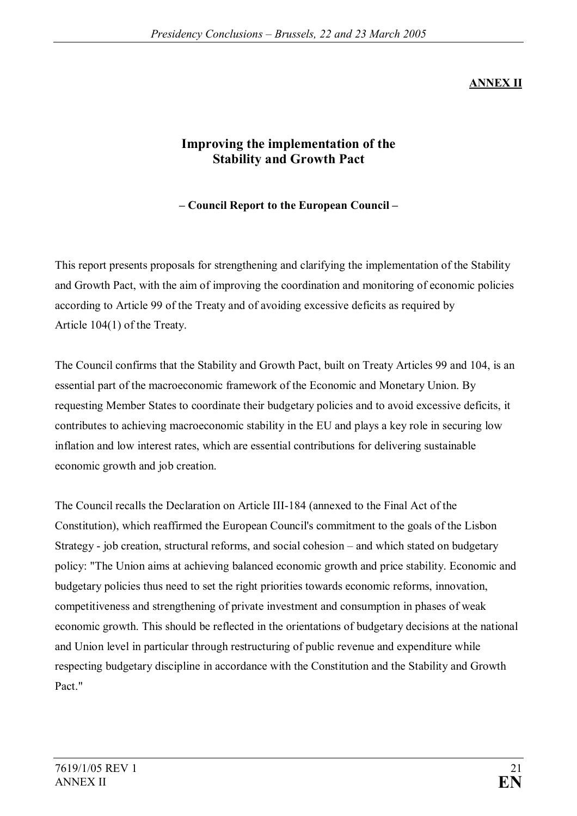#### ANNEX II

## Improving the implementation of the Stability and Growth Pact

– Council Report to the European Council –

This report presents proposals for strengthening and clarifying the implementation of the Stability and Growth Pact, with the aim of improving the coordination and monitoring of economic policies according to Article 99 of the Treaty and of avoiding excessive deficits as required by Article 104(1) of the Treaty.

The Council confirms that the Stability and Growth Pact, built on Treaty Articles 99 and 104, is an essential part of the macroeconomic framework of the Economic and Monetary Union. By requesting Member States to coordinate their budgetary policies and to avoid excessive deficits, it contributes to achieving macroeconomic stability in the EU and plays a key role in securing low inflation and low interest rates, which are essential contributions for delivering sustainable economic growth and job creation.

The Council recalls the Declaration on Article III-184 (annexed to the Final Act of the Constitution), which reaffirmed the European Council's commitment to the goals of the Lisbon Strategy - job creation, structural reforms, and social cohesion – and which stated on budgetary policy: "The Union aims at achieving balanced economic growth and price stability. Economic and budgetary policies thus need to set the right priorities towards economic reforms, innovation, competitiveness and strengthening of private investment and consumption in phases of weak economic growth. This should be reflected in the orientations of budgetary decisions at the national and Union level in particular through restructuring of public revenue and expenditure while respecting budgetary discipline in accordance with the Constitution and the Stability and Growth Pact."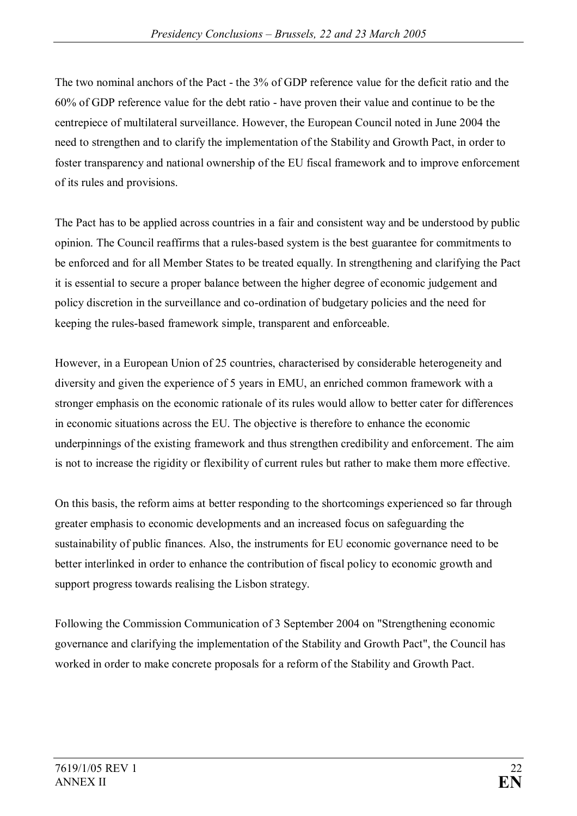The two nominal anchors of the Pact - the 3% of GDP reference value for the deficit ratio and the 60% of GDP reference value for the debt ratio - have proven their value and continue to be the centrepiece of multilateral surveillance. However, the European Council noted in June 2004 the need to strengthen and to clarify the implementation of the Stability and Growth Pact, in order to foster transparency and national ownership of the EU fiscal framework and to improve enforcement of its rules and provisions.

The Pact has to be applied across countries in a fair and consistent way and be understood by public opinion. The Council reaffirms that a rules-based system is the best guarantee for commitments to be enforced and for all Member States to be treated equally. In strengthening and clarifying the Pact it is essential to secure a proper balance between the higher degree of economic judgement and policy discretion in the surveillance and co-ordination of budgetary policies and the need for keeping the rules-based framework simple, transparent and enforceable.

However, in a European Union of 25 countries, characterised by considerable heterogeneity and diversity and given the experience of 5 years in EMU, an enriched common framework with a stronger emphasis on the economic rationale of its rules would allow to better cater for differences in economic situations across the EU. The objective is therefore to enhance the economic underpinnings of the existing framework and thus strengthen credibility and enforcement. The aim is not to increase the rigidity or flexibility of current rules but rather to make them more effective.

On this basis, the reform aims at better responding to the shortcomings experienced so far through greater emphasis to economic developments and an increased focus on safeguarding the sustainability of public finances. Also, the instruments for EU economic governance need to be better interlinked in order to enhance the contribution of fiscal policy to economic growth and support progress towards realising the Lisbon strategy.

Following the Commission Communication of 3 September 2004 on "Strengthening economic governance and clarifying the implementation of the Stability and Growth Pact", the Council has worked in order to make concrete proposals for a reform of the Stability and Growth Pact.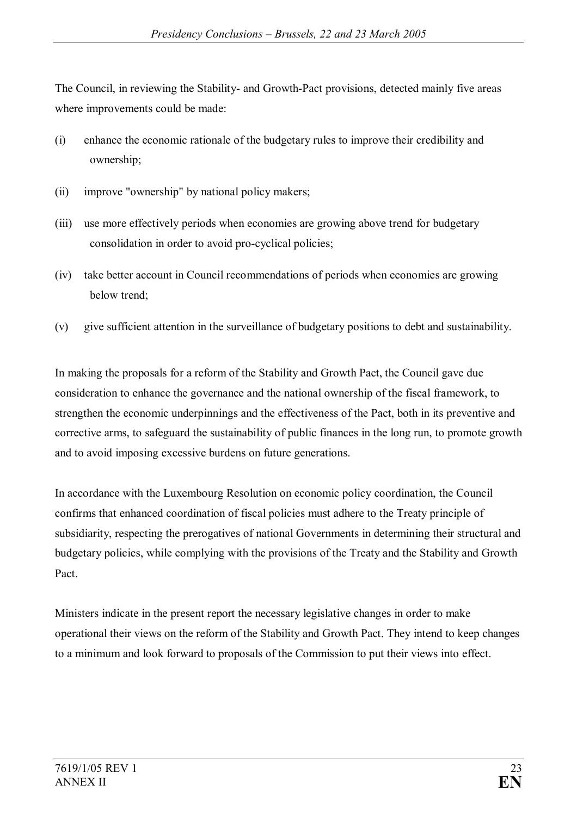The Council, in reviewing the Stability- and Growth-Pact provisions, detected mainly five areas where improvements could be made:

- (i) enhance the economic rationale of the budgetary rules to improve their credibility and ownership;
- (ii) improve "ownership" by national policy makers;
- (iii) use more effectively periods when economies are growing above trend for budgetary consolidation in order to avoid pro-cyclical policies;
- (iv) take better account in Council recommendations of periods when economies are growing below trend;
- (v) give sufficient attention in the surveillance of budgetary positions to debt and sustainability.

In making the proposals for a reform of the Stability and Growth Pact, the Council gave due consideration to enhance the governance and the national ownership of the fiscal framework, to strengthen the economic underpinnings and the effectiveness of the Pact, both in its preventive and corrective arms, to safeguard the sustainability of public finances in the long run, to promote growth and to avoid imposing excessive burdens on future generations.

In accordance with the Luxembourg Resolution on economic policy coordination, the Council confirms that enhanced coordination of fiscal policies must adhere to the Treaty principle of subsidiarity, respecting the prerogatives of national Governments in determining their structural and budgetary policies, while complying with the provisions of the Treaty and the Stability and Growth Pact.

Ministers indicate in the present report the necessary legislative changes in order to make operational their views on the reform of the Stability and Growth Pact. They intend to keep changes to a minimum and look forward to proposals of the Commission to put their views into effect.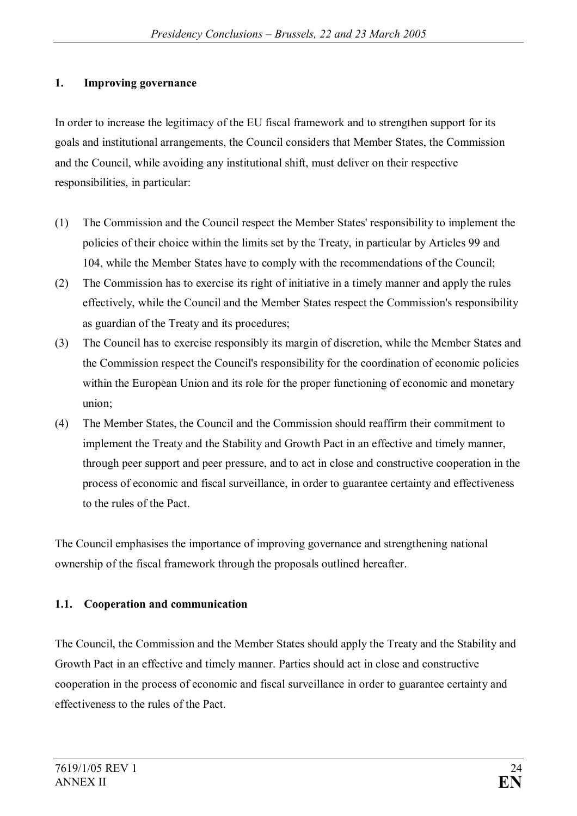### 1. Improving governance

In order to increase the legitimacy of the EU fiscal framework and to strengthen support for its goals and institutional arrangements, the Council considers that Member States, the Commission and the Council, while avoiding any institutional shift, must deliver on their respective responsibilities, in particular:

- (1) The Commission and the Council respect the Member States' responsibility to implement the policies of their choice within the limits set by the Treaty, in particular by Articles 99 and 104, while the Member States have to comply with the recommendations of the Council;
- (2) The Commission has to exercise its right of initiative in a timely manner and apply the rules effectively, while the Council and the Member States respect the Commission's responsibility as guardian of the Treaty and its procedures;
- (3) The Council has to exercise responsibly its margin of discretion, while the Member States and the Commission respect the Council's responsibility for the coordination of economic policies within the European Union and its role for the proper functioning of economic and monetary union;
- (4) The Member States, the Council and the Commission should reaffirm their commitment to implement the Treaty and the Stability and Growth Pact in an effective and timely manner, through peer support and peer pressure, and to act in close and constructive cooperation in the process of economic and fiscal surveillance, in order to guarantee certainty and effectiveness to the rules of the Pact.

The Council emphasises the importance of improving governance and strengthening national ownership of the fiscal framework through the proposals outlined hereafter.

## 1.1. Cooperation and communication

The Council, the Commission and the Member States should apply the Treaty and the Stability and Growth Pact in an effective and timely manner. Parties should act in close and constructive cooperation in the process of economic and fiscal surveillance in order to guarantee certainty and effectiveness to the rules of the Pact.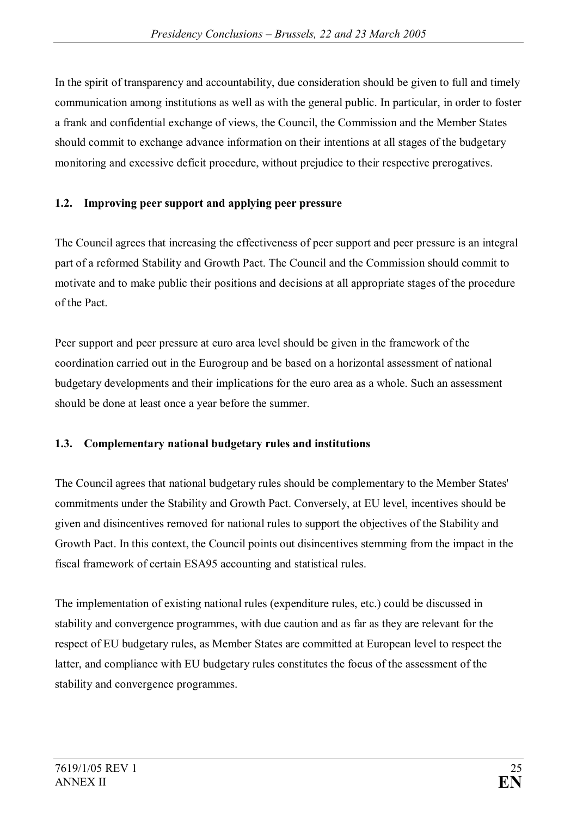In the spirit of transparency and accountability, due consideration should be given to full and timely communication among institutions as well as with the general public. In particular, in order to foster a frank and confidential exchange of views, the Council, the Commission and the Member States should commit to exchange advance information on their intentions at all stages of the budgetary monitoring and excessive deficit procedure, without prejudice to their respective prerogatives.

## 1.2. Improving peer support and applying peer pressure

The Council agrees that increasing the effectiveness of peer support and peer pressure is an integral part of a reformed Stability and Growth Pact. The Council and the Commission should commit to motivate and to make public their positions and decisions at all appropriate stages of the procedure of the Pact.

Peer support and peer pressure at euro area level should be given in the framework of the coordination carried out in the Eurogroup and be based on a horizontal assessment of national budgetary developments and their implications for the euro area as a whole. Such an assessment should be done at least once a year before the summer.

## 1.3. Complementary national budgetary rules and institutions

The Council agrees that national budgetary rules should be complementary to the Member States' commitments under the Stability and Growth Pact. Conversely, at EU level, incentives should be given and disincentives removed for national rules to support the objectives of the Stability and Growth Pact. In this context, the Council points out disincentives stemming from the impact in the fiscal framework of certain ESA95 accounting and statistical rules.

The implementation of existing national rules (expenditure rules, etc.) could be discussed in stability and convergence programmes, with due caution and as far as they are relevant for the respect of EU budgetary rules, as Member States are committed at European level to respect the latter, and compliance with EU budgetary rules constitutes the focus of the assessment of the stability and convergence programmes.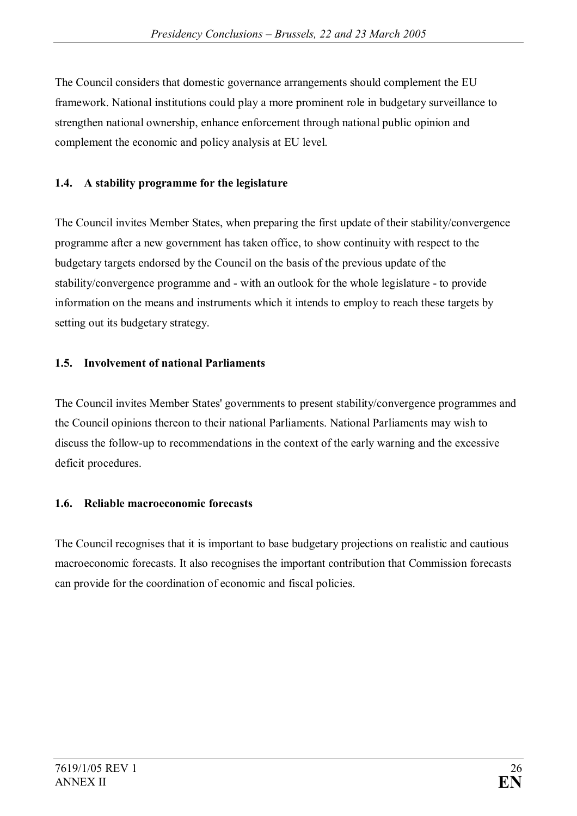The Council considers that domestic governance arrangements should complement the EU framework. National institutions could play a more prominent role in budgetary surveillance to strengthen national ownership, enhance enforcement through national public opinion and complement the economic and policy analysis at EU level.

### 1.4. A stability programme for the legislature

The Council invites Member States, when preparing the first update of their stability/convergence programme after a new government has taken office, to show continuity with respect to the budgetary targets endorsed by the Council on the basis of the previous update of the stability/convergence programme and - with an outlook for the whole legislature - to provide information on the means and instruments which it intends to employ to reach these targets by setting out its budgetary strategy.

## 1.5. Involvement of national Parliaments

The Council invites Member States' governments to present stability/convergence programmes and the Council opinions thereon to their national Parliaments. National Parliaments may wish to discuss the follow-up to recommendations in the context of the early warning and the excessive deficit procedures.

### 1.6. Reliable macroeconomic forecasts

The Council recognises that it is important to base budgetary projections on realistic and cautious macroeconomic forecasts. It also recognises the important contribution that Commission forecasts can provide for the coordination of economic and fiscal policies.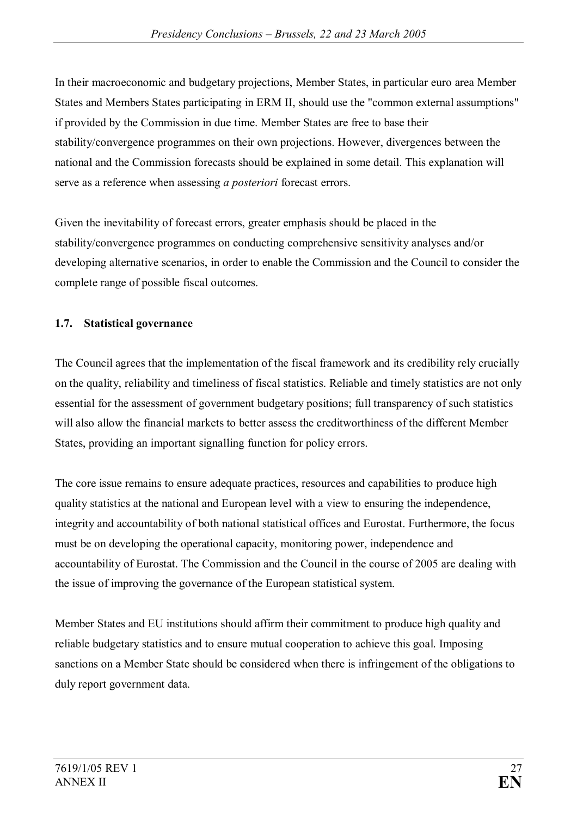In their macroeconomic and budgetary projections, Member States, in particular euro area Member States and Members States participating in ERM II, should use the "common external assumptions" if provided by the Commission in due time. Member States are free to base their stability/convergence programmes on their own projections. However, divergences between the national and the Commission forecasts should be explained in some detail. This explanation will serve as a reference when assessing a posteriori forecast errors.

Given the inevitability of forecast errors, greater emphasis should be placed in the stability/convergence programmes on conducting comprehensive sensitivity analyses and/or developing alternative scenarios, in order to enable the Commission and the Council to consider the complete range of possible fiscal outcomes.

## 1.7. Statistical governance

The Council agrees that the implementation of the fiscal framework and its credibility rely crucially on the quality, reliability and timeliness of fiscal statistics. Reliable and timely statistics are not only essential for the assessment of government budgetary positions; full transparency of such statistics will also allow the financial markets to better assess the creditworthiness of the different Member States, providing an important signalling function for policy errors.

The core issue remains to ensure adequate practices, resources and capabilities to produce high quality statistics at the national and European level with a view to ensuring the independence, integrity and accountability of both national statistical offices and Eurostat. Furthermore, the focus must be on developing the operational capacity, monitoring power, independence and accountability of Eurostat. The Commission and the Council in the course of 2005 are dealing with the issue of improving the governance of the European statistical system.

Member States and EU institutions should affirm their commitment to produce high quality and reliable budgetary statistics and to ensure mutual cooperation to achieve this goal. Imposing sanctions on a Member State should be considered when there is infringement of the obligations to duly report government data.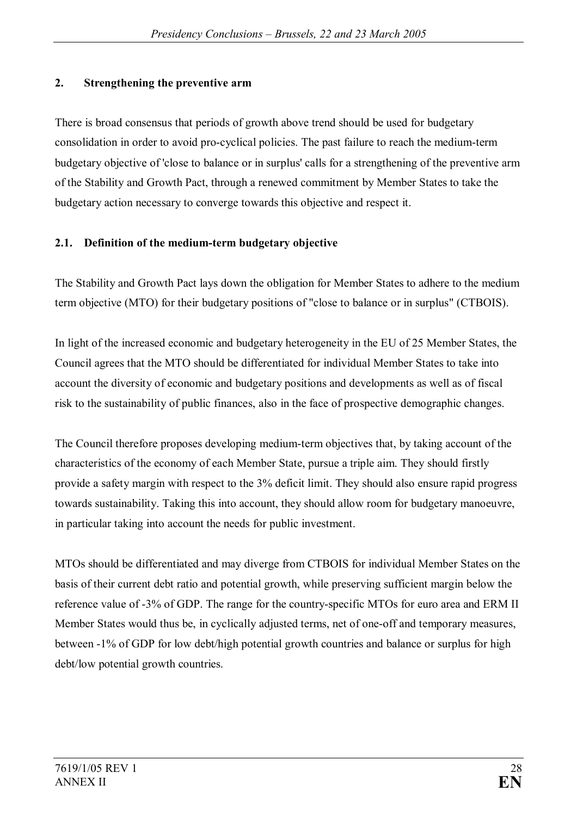### 2. Strengthening the preventive arm

There is broad consensus that periods of growth above trend should be used for budgetary consolidation in order to avoid pro-cyclical policies. The past failure to reach the medium-term budgetary objective of 'close to balance or in surplus' calls for a strengthening of the preventive arm of the Stability and Growth Pact, through a renewed commitment by Member States to take the budgetary action necessary to converge towards this objective and respect it.

### 2.1. Definition of the medium-term budgetary objective

The Stability and Growth Pact lays down the obligation for Member States to adhere to the medium term objective (MTO) for their budgetary positions of "close to balance or in surplus" (CTBOIS).

In light of the increased economic and budgetary heterogeneity in the EU of 25 Member States, the Council agrees that the MTO should be differentiated for individual Member States to take into account the diversity of economic and budgetary positions and developments as well as of fiscal risk to the sustainability of public finances, also in the face of prospective demographic changes.

The Council therefore proposes developing medium-term objectives that, by taking account of the characteristics of the economy of each Member State, pursue a triple aim. They should firstly provide a safety margin with respect to the 3% deficit limit. They should also ensure rapid progress towards sustainability. Taking this into account, they should allow room for budgetary manoeuvre, in particular taking into account the needs for public investment.

MTOs should be differentiated and may diverge from CTBOIS for individual Member States on the basis of their current debt ratio and potential growth, while preserving sufficient margin below the reference value of -3% of GDP. The range for the country-specific MTOs for euro area and ERM II Member States would thus be, in cyclically adjusted terms, net of one-off and temporary measures, between -1% of GDP for low debt/high potential growth countries and balance or surplus for high debt/low potential growth countries.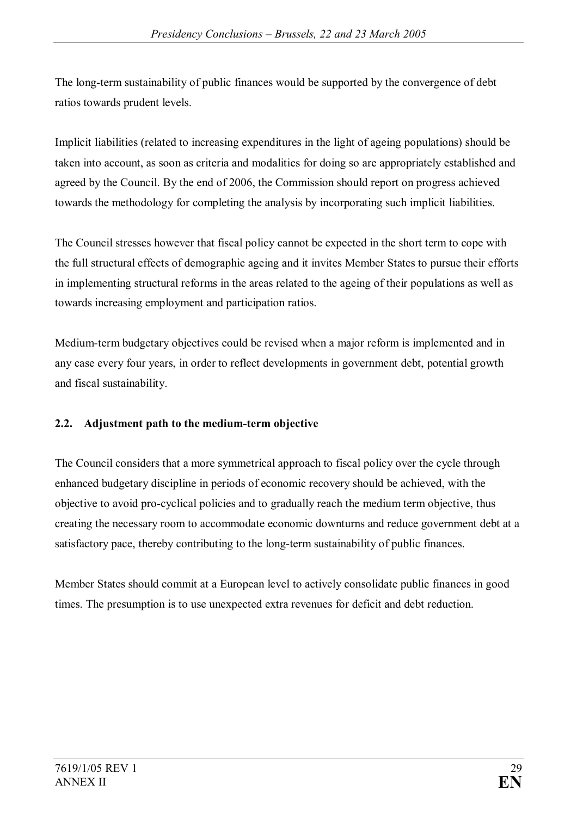The long-term sustainability of public finances would be supported by the convergence of debt ratios towards prudent levels.

Implicit liabilities (related to increasing expenditures in the light of ageing populations) should be taken into account, as soon as criteria and modalities for doing so are appropriately established and agreed by the Council. By the end of 2006, the Commission should report on progress achieved towards the methodology for completing the analysis by incorporating such implicit liabilities.

The Council stresses however that fiscal policy cannot be expected in the short term to cope with the full structural effects of demographic ageing and it invites Member States to pursue their efforts in implementing structural reforms in the areas related to the ageing of their populations as well as towards increasing employment and participation ratios.

Medium-term budgetary objectives could be revised when a major reform is implemented and in any case every four years, in order to reflect developments in government debt, potential growth and fiscal sustainability.

## 2.2. Adjustment path to the medium-term objective

The Council considers that a more symmetrical approach to fiscal policy over the cycle through enhanced budgetary discipline in periods of economic recovery should be achieved, with the objective to avoid pro-cyclical policies and to gradually reach the medium term objective, thus creating the necessary room to accommodate economic downturns and reduce government debt at a satisfactory pace, thereby contributing to the long-term sustainability of public finances.

Member States should commit at a European level to actively consolidate public finances in good times. The presumption is to use unexpected extra revenues for deficit and debt reduction.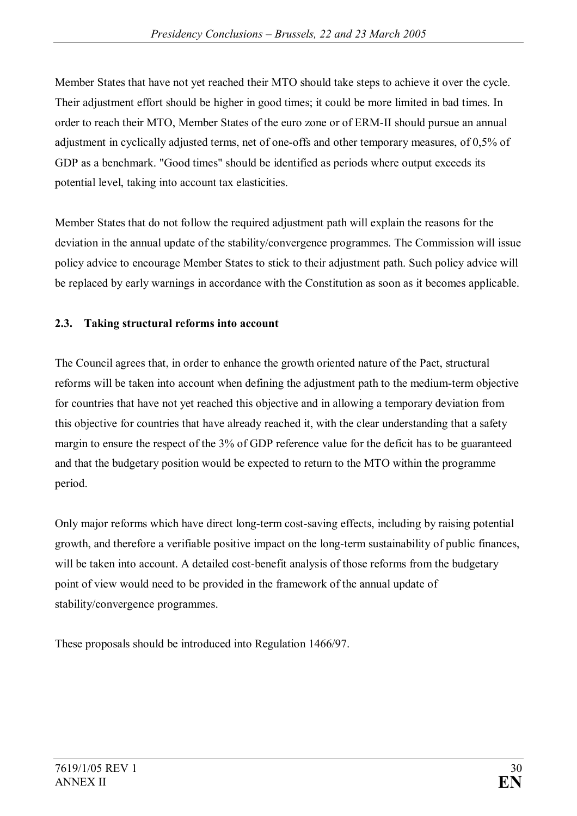Member States that have not yet reached their MTO should take steps to achieve it over the cycle. Their adjustment effort should be higher in good times; it could be more limited in bad times. In order to reach their MTO, Member States of the euro zone or of ERM-II should pursue an annual adjustment in cyclically adjusted terms, net of one-offs and other temporary measures, of 0,5% of GDP as a benchmark. "Good times" should be identified as periods where output exceeds its potential level, taking into account tax elasticities.

Member States that do not follow the required adjustment path will explain the reasons for the deviation in the annual update of the stability/convergence programmes. The Commission will issue policy advice to encourage Member States to stick to their adjustment path. Such policy advice will be replaced by early warnings in accordance with the Constitution as soon as it becomes applicable.

## 2.3. Taking structural reforms into account

The Council agrees that, in order to enhance the growth oriented nature of the Pact, structural reforms will be taken into account when defining the adjustment path to the medium-term objective for countries that have not yet reached this objective and in allowing a temporary deviation from this objective for countries that have already reached it, with the clear understanding that a safety margin to ensure the respect of the 3% of GDP reference value for the deficit has to be guaranteed and that the budgetary position would be expected to return to the MTO within the programme period.

Only major reforms which have direct long-term cost-saving effects, including by raising potential growth, and therefore a verifiable positive impact on the long-term sustainability of public finances, will be taken into account. A detailed cost-benefit analysis of those reforms from the budgetary point of view would need to be provided in the framework of the annual update of stability/convergence programmes.

These proposals should be introduced into Regulation 1466/97.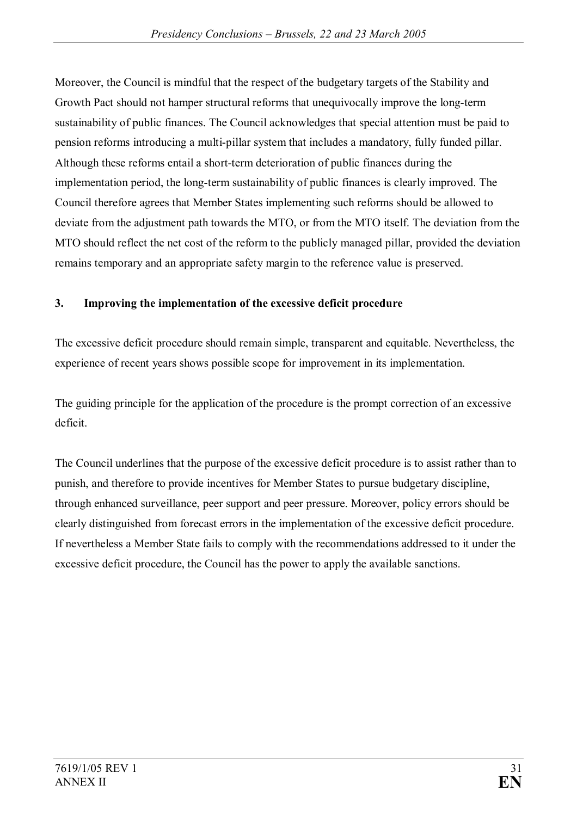Moreover, the Council is mindful that the respect of the budgetary targets of the Stability and Growth Pact should not hamper structural reforms that unequivocally improve the long-term sustainability of public finances. The Council acknowledges that special attention must be paid to pension reforms introducing a multi-pillar system that includes a mandatory, fully funded pillar. Although these reforms entail a short-term deterioration of public finances during the implementation period, the long-term sustainability of public finances is clearly improved. The Council therefore agrees that Member States implementing such reforms should be allowed to deviate from the adjustment path towards the MTO, or from the MTO itself. The deviation from the MTO should reflect the net cost of the reform to the publicly managed pillar, provided the deviation remains temporary and an appropriate safety margin to the reference value is preserved.

### 3. Improving the implementation of the excessive deficit procedure

The excessive deficit procedure should remain simple, transparent and equitable. Nevertheless, the experience of recent years shows possible scope for improvement in its implementation.

The guiding principle for the application of the procedure is the prompt correction of an excessive deficit.

The Council underlines that the purpose of the excessive deficit procedure is to assist rather than to punish, and therefore to provide incentives for Member States to pursue budgetary discipline, through enhanced surveillance, peer support and peer pressure. Moreover, policy errors should be clearly distinguished from forecast errors in the implementation of the excessive deficit procedure. If nevertheless a Member State fails to comply with the recommendations addressed to it under the excessive deficit procedure, the Council has the power to apply the available sanctions.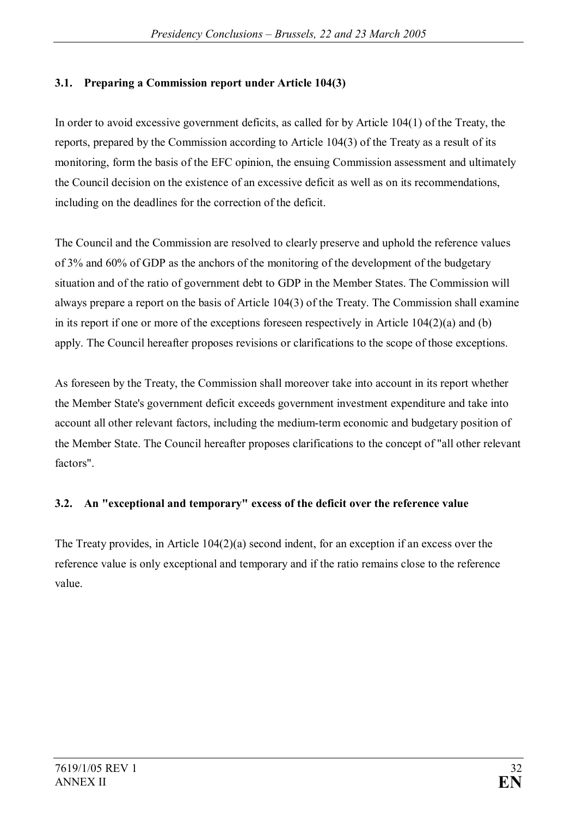### 3.1. Preparing a Commission report under Article 104(3)

In order to avoid excessive government deficits, as called for by Article 104(1) of the Treaty, the reports, prepared by the Commission according to Article 104(3) of the Treaty as a result of its monitoring, form the basis of the EFC opinion, the ensuing Commission assessment and ultimately the Council decision on the existence of an excessive deficit as well as on its recommendations, including on the deadlines for the correction of the deficit.

The Council and the Commission are resolved to clearly preserve and uphold the reference values of 3% and 60% of GDP as the anchors of the monitoring of the development of the budgetary situation and of the ratio of government debt to GDP in the Member States. The Commission will always prepare a report on the basis of Article 104(3) of the Treaty. The Commission shall examine in its report if one or more of the exceptions foreseen respectively in Article 104(2)(a) and (b) apply. The Council hereafter proposes revisions or clarifications to the scope of those exceptions.

As foreseen by the Treaty, the Commission shall moreover take into account in its report whether the Member State's government deficit exceeds government investment expenditure and take into account all other relevant factors, including the medium-term economic and budgetary position of the Member State. The Council hereafter proposes clarifications to the concept of "all other relevant factors".

## 3.2. An "exceptional and temporary" excess of the deficit over the reference value

The Treaty provides, in Article 104(2)(a) second indent, for an exception if an excess over the reference value is only exceptional and temporary and if the ratio remains close to the reference value.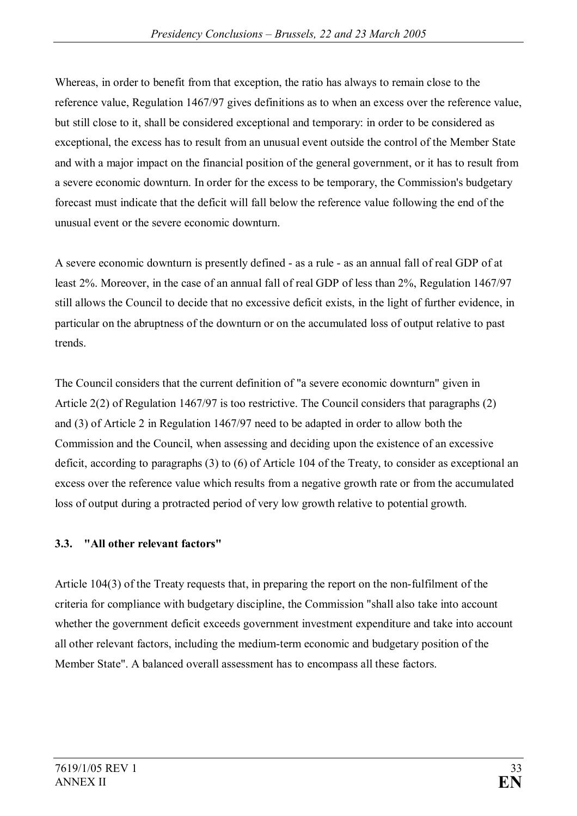Whereas, in order to benefit from that exception, the ratio has always to remain close to the reference value, Regulation 1467/97 gives definitions as to when an excess over the reference value, but still close to it, shall be considered exceptional and temporary: in order to be considered as exceptional, the excess has to result from an unusual event outside the control of the Member State and with a major impact on the financial position of the general government, or it has to result from a severe economic downturn. In order for the excess to be temporary, the Commission's budgetary forecast must indicate that the deficit will fall below the reference value following the end of the unusual event or the severe economic downturn.

A severe economic downturn is presently defined - as a rule - as an annual fall of real GDP of at least 2%. Moreover, in the case of an annual fall of real GDP of less than 2%, Regulation 1467/97 still allows the Council to decide that no excessive deficit exists, in the light of further evidence, in particular on the abruptness of the downturn or on the accumulated loss of output relative to past trends.

The Council considers that the current definition of "a severe economic downturn" given in Article 2(2) of Regulation 1467/97 is too restrictive. The Council considers that paragraphs (2) and (3) of Article 2 in Regulation 1467/97 need to be adapted in order to allow both the Commission and the Council, when assessing and deciding upon the existence of an excessive deficit, according to paragraphs (3) to (6) of Article 104 of the Treaty, to consider as exceptional an excess over the reference value which results from a negative growth rate or from the accumulated loss of output during a protracted period of very low growth relative to potential growth.

# 3.3. "All other relevant factors"

Article 104(3) of the Treaty requests that, in preparing the report on the non-fulfilment of the criteria for compliance with budgetary discipline, the Commission "shall also take into account whether the government deficit exceeds government investment expenditure and take into account all other relevant factors, including the medium-term economic and budgetary position of the Member State". A balanced overall assessment has to encompass all these factors.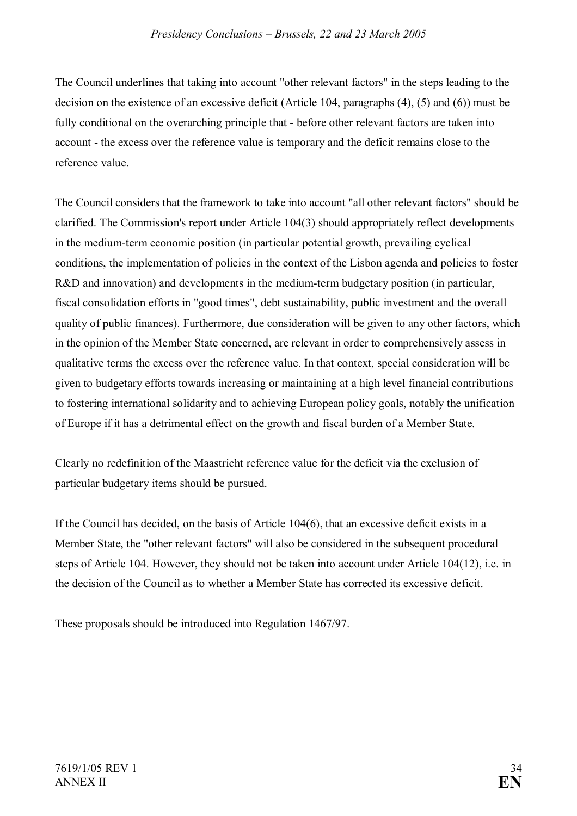The Council underlines that taking into account "other relevant factors" in the steps leading to the decision on the existence of an excessive deficit (Article 104, paragraphs (4), (5) and (6)) must be fully conditional on the overarching principle that - before other relevant factors are taken into account - the excess over the reference value is temporary and the deficit remains close to the reference value.

The Council considers that the framework to take into account "all other relevant factors" should be clarified. The Commission's report under Article 104(3) should appropriately reflect developments in the medium-term economic position (in particular potential growth, prevailing cyclical conditions, the implementation of policies in the context of the Lisbon agenda and policies to foster R&D and innovation) and developments in the medium-term budgetary position (in particular, fiscal consolidation efforts in "good times", debt sustainability, public investment and the overall quality of public finances). Furthermore, due consideration will be given to any other factors, which in the opinion of the Member State concerned, are relevant in order to comprehensively assess in qualitative terms the excess over the reference value. In that context, special consideration will be given to budgetary efforts towards increasing or maintaining at a high level financial contributions to fostering international solidarity and to achieving European policy goals, notably the unification of Europe if it has a detrimental effect on the growth and fiscal burden of a Member State.

Clearly no redefinition of the Maastricht reference value for the deficit via the exclusion of particular budgetary items should be pursued.

If the Council has decided, on the basis of Article 104(6), that an excessive deficit exists in a Member State, the "other relevant factors" will also be considered in the subsequent procedural steps of Article 104. However, they should not be taken into account under Article 104(12), i.e. in the decision of the Council as to whether a Member State has corrected its excessive deficit.

These proposals should be introduced into Regulation 1467/97.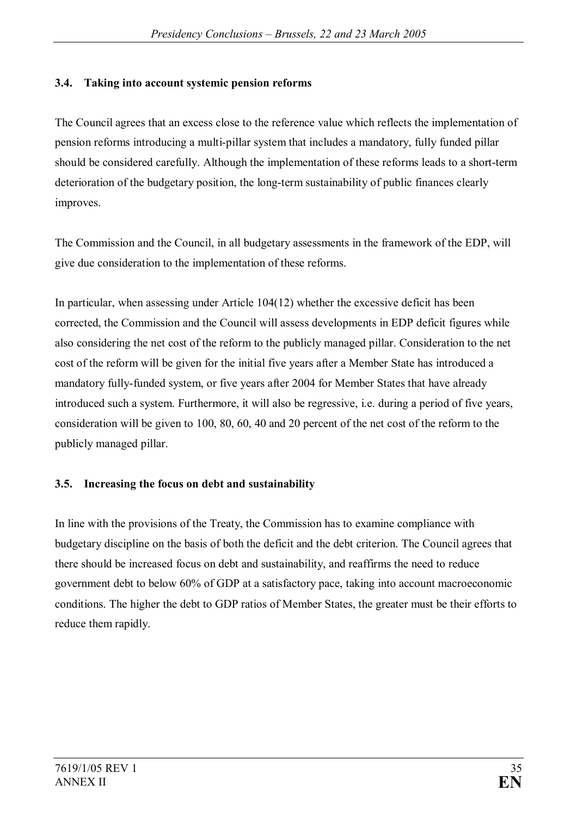### 3.4. Taking into account systemic pension reforms

The Council agrees that an excess close to the reference value which reflects the implementation of pension reforms introducing a multi-pillar system that includes a mandatory, fully funded pillar should be considered carefully. Although the implementation of these reforms leads to a short-term deterioration of the budgetary position, the long-term sustainability of public finances clearly improves.

The Commission and the Council, in all budgetary assessments in the framework of the EDP, will give due consideration to the implementation of these reforms.

In particular, when assessing under Article 104(12) whether the excessive deficit has been corrected, the Commission and the Council will assess developments in EDP deficit figures while also considering the net cost of the reform to the publicly managed pillar. Consideration to the net cost of the reform will be given for the initial five years after a Member State has introduced a mandatory fully-funded system, or five years after 2004 for Member States that have already introduced such a system. Furthermore, it will also be regressive, i.e. during a period of five years, consideration will be given to 100, 80, 60, 40 and 20 percent of the net cost of the reform to the publicly managed pillar.

### 3.5. Increasing the focus on debt and sustainability

In line with the provisions of the Treaty, the Commission has to examine compliance with budgetary discipline on the basis of both the deficit and the debt criterion. The Council agrees that there should be increased focus on debt and sustainability, and reaffirms the need to reduce government debt to below 60% of GDP at a satisfactory pace, taking into account macroeconomic conditions. The higher the debt to GDP ratios of Member States, the greater must be their efforts to reduce them rapidly.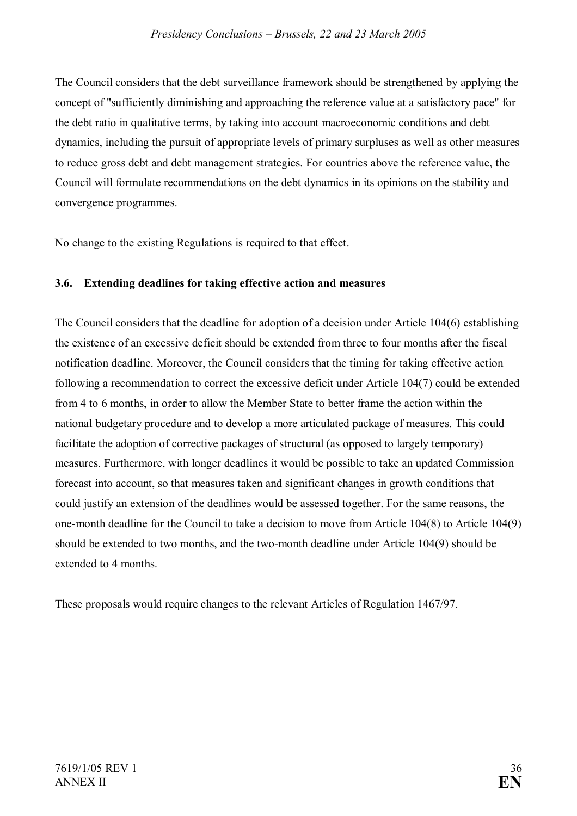The Council considers that the debt surveillance framework should be strengthened by applying the concept of "sufficiently diminishing and approaching the reference value at a satisfactory pace" for the debt ratio in qualitative terms, by taking into account macroeconomic conditions and debt dynamics, including the pursuit of appropriate levels of primary surpluses as well as other measures to reduce gross debt and debt management strategies. For countries above the reference value, the Council will formulate recommendations on the debt dynamics in its opinions on the stability and convergence programmes.

No change to the existing Regulations is required to that effect.

## 3.6. Extending deadlines for taking effective action and measures

The Council considers that the deadline for adoption of a decision under Article 104(6) establishing the existence of an excessive deficit should be extended from three to four months after the fiscal notification deadline. Moreover, the Council considers that the timing for taking effective action following a recommendation to correct the excessive deficit under Article 104(7) could be extended from 4 to 6 months, in order to allow the Member State to better frame the action within the national budgetary procedure and to develop a more articulated package of measures. This could facilitate the adoption of corrective packages of structural (as opposed to largely temporary) measures. Furthermore, with longer deadlines it would be possible to take an updated Commission forecast into account, so that measures taken and significant changes in growth conditions that could justify an extension of the deadlines would be assessed together. For the same reasons, the one-month deadline for the Council to take a decision to move from Article 104(8) to Article 104(9) should be extended to two months, and the two-month deadline under Article 104(9) should be extended to 4 months.

These proposals would require changes to the relevant Articles of Regulation 1467/97.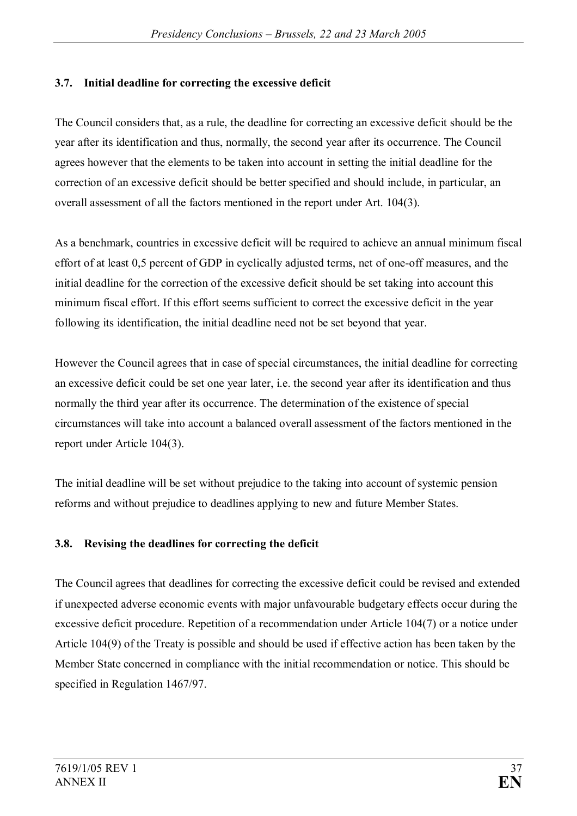### 3.7. Initial deadline for correcting the excessive deficit

The Council considers that, as a rule, the deadline for correcting an excessive deficit should be the year after its identification and thus, normally, the second year after its occurrence. The Council agrees however that the elements to be taken into account in setting the initial deadline for the correction of an excessive deficit should be better specified and should include, in particular, an overall assessment of all the factors mentioned in the report under Art. 104(3).

As a benchmark, countries in excessive deficit will be required to achieve an annual minimum fiscal effort of at least 0,5 percent of GDP in cyclically adjusted terms, net of one-off measures, and the initial deadline for the correction of the excessive deficit should be set taking into account this minimum fiscal effort. If this effort seems sufficient to correct the excessive deficit in the year following its identification, the initial deadline need not be set beyond that year.

However the Council agrees that in case of special circumstances, the initial deadline for correcting an excessive deficit could be set one year later, i.e. the second year after its identification and thus normally the third year after its occurrence. The determination of the existence of special circumstances will take into account a balanced overall assessment of the factors mentioned in the report under Article 104(3).

The initial deadline will be set without prejudice to the taking into account of systemic pension reforms and without prejudice to deadlines applying to new and future Member States.

### 3.8. Revising the deadlines for correcting the deficit

The Council agrees that deadlines for correcting the excessive deficit could be revised and extended if unexpected adverse economic events with major unfavourable budgetary effects occur during the excessive deficit procedure. Repetition of a recommendation under Article 104(7) or a notice under Article 104(9) of the Treaty is possible and should be used if effective action has been taken by the Member State concerned in compliance with the initial recommendation or notice. This should be specified in Regulation 1467/97.